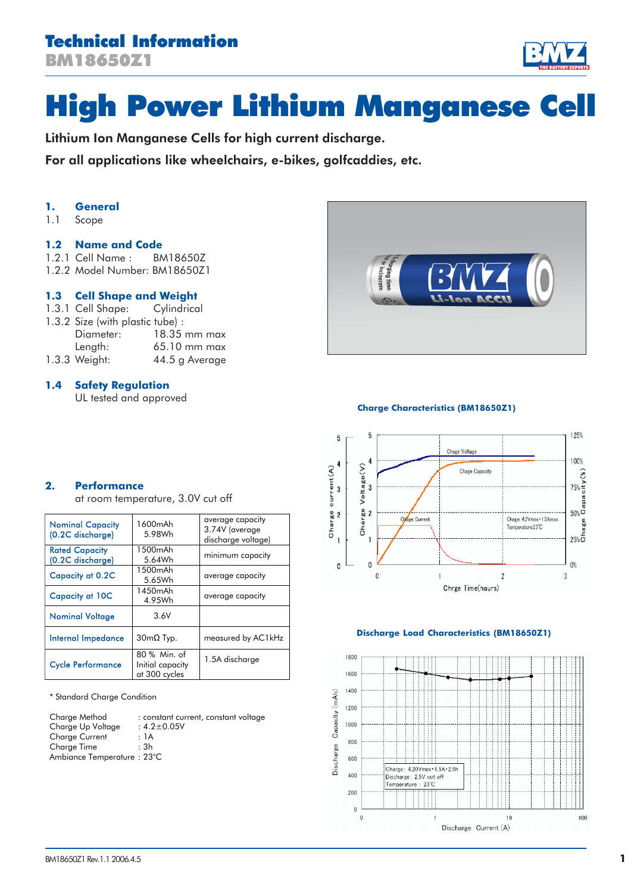# Technical Information BM18650Z1

# High Power Lithium Manganese Cell

Lithium Ion Manganese Cells for high current discharge.

For all applications like wheelchairs, e-bikes, golfcaddies, etc.

# **1. General**

1.1 Scope

### **1.2 Name and Code**

- 1.2.1 Cell Name : BM18650Z
- 1.2.2 Model Number: BM18650Z1

# **1.3 Cell Shape and Weight**

- 1.3.1 Cell Shape: Cylindrical
- 1.3.2 Size (with plastic tube) : Diameter: 18.35 mm max Length: 65.10 mm max
- 1.3.3 Weight: 44.5 g Average

# **1.4 Safety Regulation**

UL tested and approved



#### **Charge Characteristics (BM18650Z1)**



#### **Discharge Load Characteristics (BM18650Z1)**



**2. Performance**

at room temperature, 3.0V cut off

| <b>Nominal Capacity</b><br>(0.2C discharge) | 1600mAh<br>5.98Wh                                 | average capacity<br>3.74V (average<br>discharge voltage) |
|---------------------------------------------|---------------------------------------------------|----------------------------------------------------------|
| <b>Rated Capacity</b><br>(0.2C discharge)   | 1500mAh<br>5.64Wh                                 | minimum capacity                                         |
| <b>Capacity at 0.2C</b>                     | 1500mAh<br>5.65Wh                                 | average capacity                                         |
| <b>Capacity at 10C</b>                      | 1450mAh<br>4.95Wh                                 | average capacity                                         |
| <b>Nominal Voltage</b>                      | 3.6V                                              |                                                          |
| Internal Impedance                          | $30 \text{m}\Omega$ Typ.                          | measured by AC1kHz                                       |
| <b>Cycle Performance</b>                    | 80 % Min. of<br>Initial capacity<br>at 300 cycles | 1.5A discharge                                           |

\* Standard Charge Condition

| Charge Method              | : constant current, constant voltage |
|----------------------------|--------------------------------------|
| Charge Up Voltage          | $: 4.2 \pm 0.05V$                    |
| <b>Charge Current</b>      | : 1A                                 |
| Charge Time                | : 3h                                 |
| Ambiance Temperature: 23°C |                                      |
|                            |                                      |